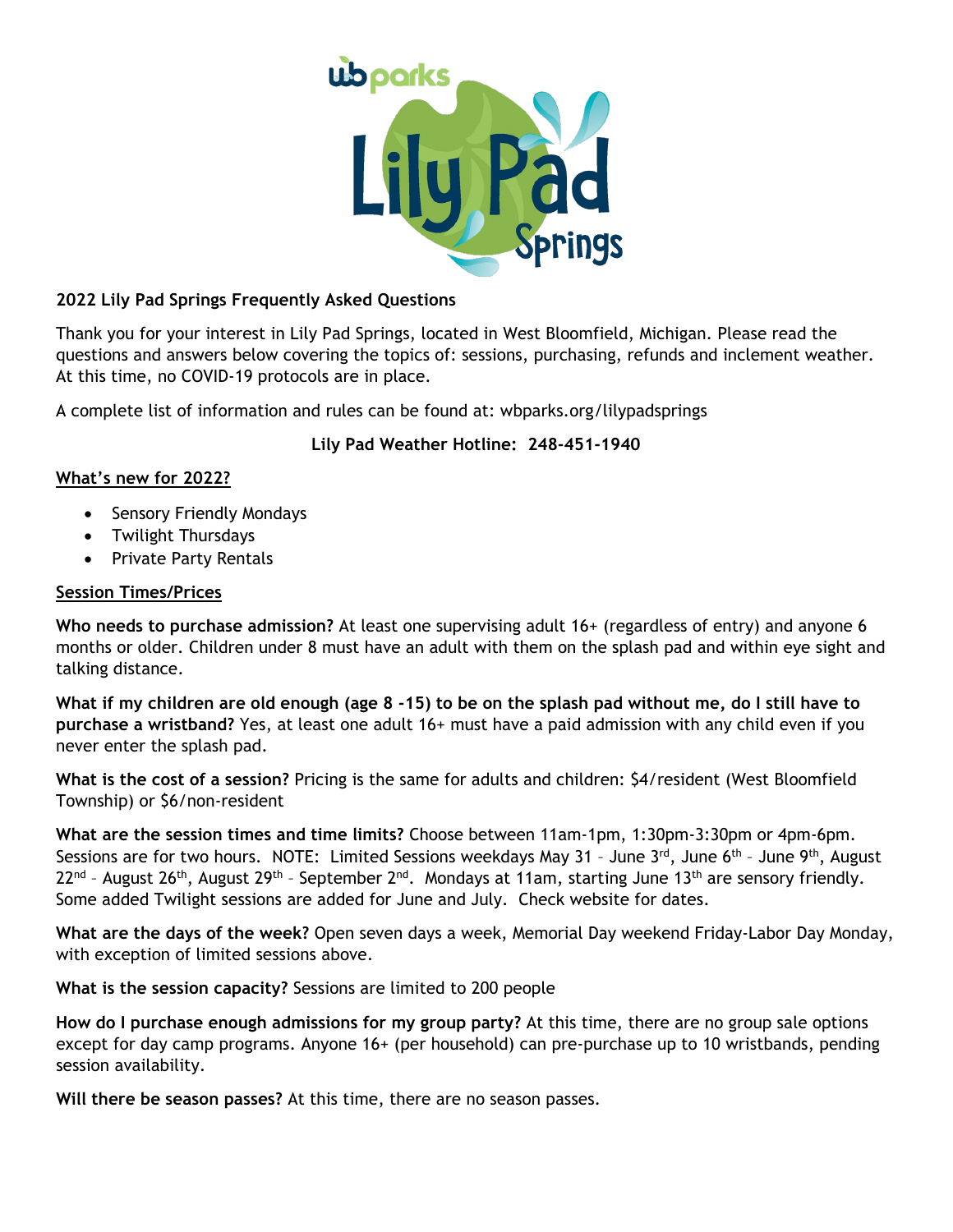

## **2022 Lily Pad Springs Frequently Asked Questions**

Thank you for your interest in Lily Pad Springs, located in West Bloomfield, Michigan. Please read the questions and answers below covering the topics of: sessions, purchasing, refunds and inclement weather. At this time, no COVID-19 protocols are in place.

A complete list of information and rules can be found at: wbparks.org/lilypadsprings

## **Lily Pad Weather Hotline: 248-451-1940**

## **What's new for 2022?**

- Sensory Friendly Mondays
- Twilight Thursdays
- Private Party Rentals

#### **Session Times/Prices**

**Who needs to purchase admission?** At least one supervising adult 16+ (regardless of entry) and anyone 6 months or older. Children under 8 must have an adult with them on the splash pad and within eye sight and talking distance.

**What if my children are old enough (age 8 -15) to be on the splash pad without me, do I still have to purchase a wristband?** Yes, at least one adult 16+ must have a paid admission with any child even if you never enter the splash pad.

**What is the cost of a session?** Pricing is the same for adults and children: \$4/resident (West Bloomfield Township) or \$6/non-resident

**What are the session times and time limits?** Choose between 11am-1pm, 1:30pm-3:30pm or 4pm-6pm. Sessions are for two hours. NOTE: Limited Sessions weekdays May 31 - June 3rd, June 6th - June 9th, August  $22^{nd}$  - August 26<sup>th</sup>, August 29<sup>th</sup> - September 2<sup>nd</sup>. Mondays at 11am, starting June 13<sup>th</sup> are sensory friendly. Some added Twilight sessions are added for June and July. Check website for dates.

**What are the days of the week?** Open seven days a week, Memorial Day weekend Friday-Labor Day Monday, with exception of limited sessions above.

**What is the session capacity?** Sessions are limited to 200 people

**How do I purchase enough admissions for my group party?** At this time, there are no group sale options except for day camp programs. Anyone 16+ (per household) can pre-purchase up to 10 wristbands, pending session availability.

**Will there be season passes?** At this time, there are no season passes.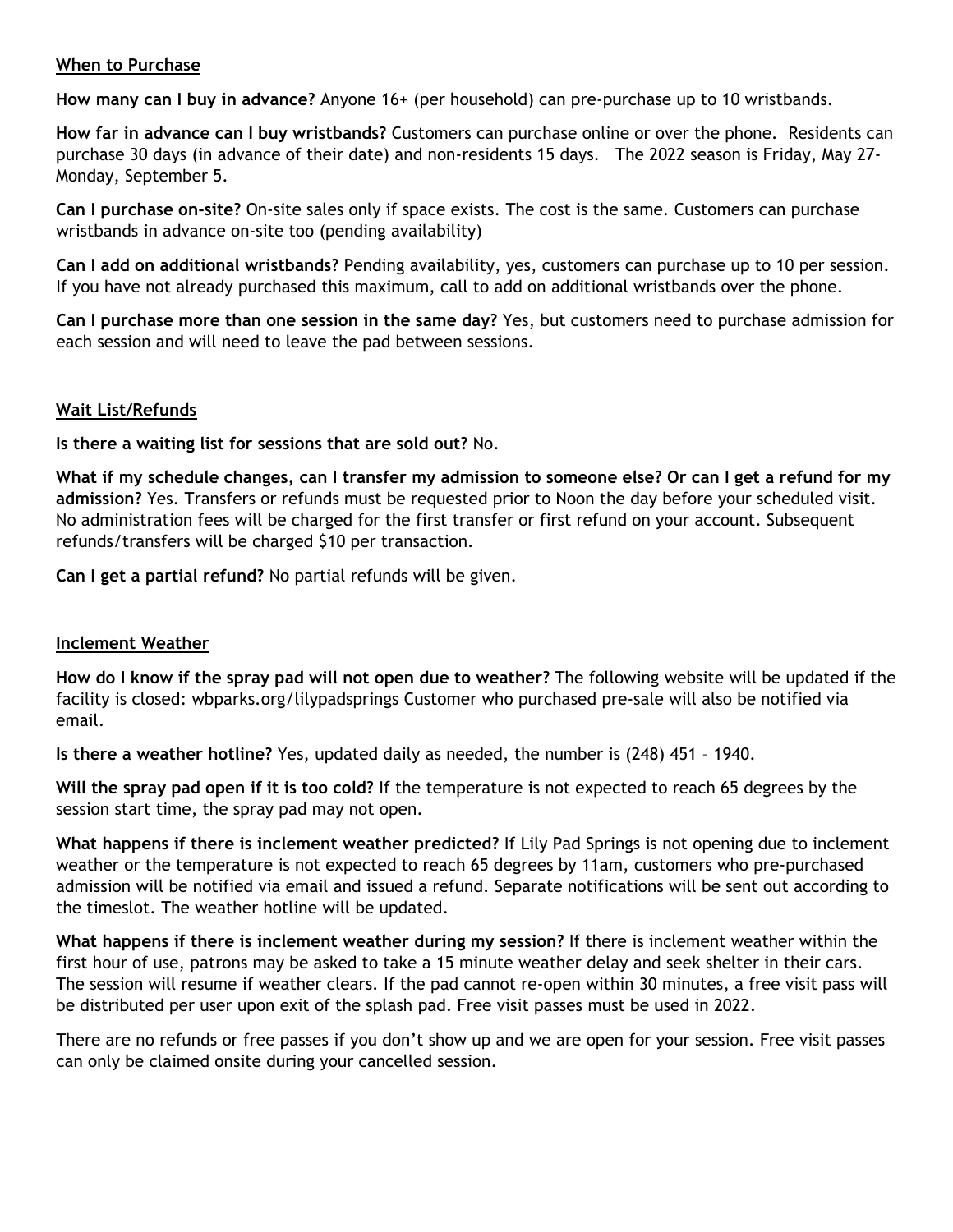#### **When to Purchase**

**How many can I buy in advance?** Anyone 16+ (per household) can pre-purchase up to 10 wristbands.

**How far in advance can I buy wristbands?** Customers can purchase online or over the phone. Residents can purchase 30 days (in advance of their date) and non-residents 15 days. The 2022 season is Friday, May 27- Monday, September 5.

**Can I purchase on-site?** On-site sales only if space exists. The cost is the same. Customers can purchase wristbands in advance on-site too (pending availability)

**Can I add on additional wristbands?** Pending availability, yes, customers can purchase up to 10 per session. If you have not already purchased this maximum, call to add on additional wristbands over the phone.

**Can I purchase more than one session in the same day?** Yes, but customers need to purchase admission for each session and will need to leave the pad between sessions.

#### **Wait List/Refunds**

**Is there a waiting list for sessions that are sold out?** No.

**What if my schedule changes, can I transfer my admission to someone else? Or can I get a refund for my admission?** Yes. Transfers or refunds must be requested prior to Noon the day before your scheduled visit. No administration fees will be charged for the first transfer or first refund on your account. Subsequent refunds/transfers will be charged \$10 per transaction.

**Can I get a partial refund?** No partial refunds will be given.

#### **Inclement Weather**

**How do I know if the spray pad will not open due to weather?** The following website will be updated if the facility is closed: wbparks.org/lilypadsprings Customer who purchased pre-sale will also be notified via email.

**Is there a weather hotline?** Yes, updated daily as needed, the number is (248) 451 – 1940.

**Will the spray pad open if it is too cold?** If the temperature is not expected to reach 65 degrees by the session start time, the spray pad may not open.

**What happens if there is inclement weather predicted?** If Lily Pad Springs is not opening due to inclement weather or the temperature is not expected to reach 65 degrees by 11am, customers who pre-purchased admission will be notified via email and issued a refund. Separate notifications will be sent out according to the timeslot. The weather hotline will be updated.

**What happens if there is inclement weather during my session?** If there is inclement weather within the first hour of use, patrons may be asked to take a 15 minute weather delay and seek shelter in their cars. The session will resume if weather clears. If the pad cannot re-open within 30 minutes, a free visit pass will be distributed per user upon exit of the splash pad. Free visit passes must be used in 2022.

There are no refunds or free passes if you don't show up and we are open for your session. Free visit passes can only be claimed onsite during your cancelled session.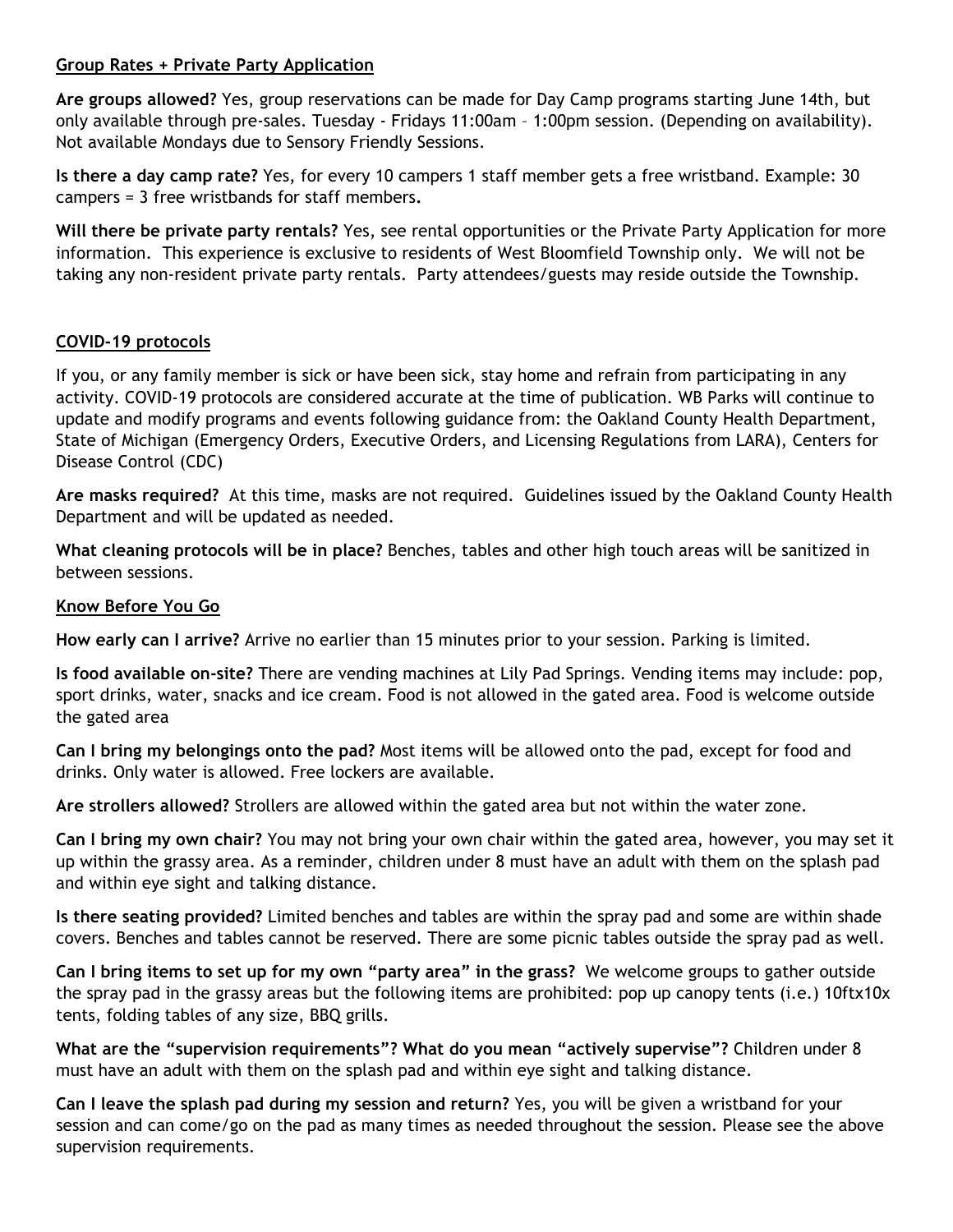### **Group Rates + Private Party Application**

**Are groups allowed?** Yes, group reservations can be made for Day Camp programs starting June 14th, but only available through pre-sales. Tuesday - Fridays 11:00am – 1:00pm session. (Depending on availability). Not available Mondays due to Sensory Friendly Sessions.

**Is there a day camp rate?** Yes, for every 10 campers 1 staff member gets a free wristband. Example: 30 campers = 3 free wristbands for staff members**.** 

**Will there be private party rentals?** Yes, see rental opportunities or the Private Party Application for more information. This experience is exclusive to residents of West Bloomfield Township only. We will not be taking any non-resident private party rentals. Party attendees/guests may reside outside the Township.

# **COVID-19 protocols**

If you, or any family member is sick or have been sick, stay home and refrain from participating in any activity. COVID-19 protocols are considered accurate at the time of publication. WB Parks will continue to update and modify programs and events following guidance from: the Oakland County Health Department, State of Michigan (Emergency Orders, Executive Orders, and Licensing Regulations from LARA), Centers for Disease Control (CDC)

**Are masks required?** At this time, masks are not required. Guidelines issued by the Oakland County Health Department and will be updated as needed.

**What cleaning protocols will be in place?** Benches, tables and other high touch areas will be sanitized in between sessions.

### **Know Before You Go**

**How early can I arrive?** Arrive no earlier than 15 minutes prior to your session. Parking is limited.

**Is food available on-site?** There are vending machines at Lily Pad Springs. Vending items may include: pop, sport drinks, water, snacks and ice cream. Food is not allowed in the gated area. Food is welcome outside the gated area

**Can I bring my belongings onto the pad?** Most items will be allowed onto the pad, except for food and drinks. Only water is allowed. Free lockers are available.

**Are strollers allowed?** Strollers are allowed within the gated area but not within the water zone.

**Can I bring my own chair?** You may not bring your own chair within the gated area, however, you may set it up within the grassy area. As a reminder, children under 8 must have an adult with them on the splash pad and within eye sight and talking distance.

**Is there seating provided?** Limited benches and tables are within the spray pad and some are within shade covers. Benches and tables cannot be reserved. There are some picnic tables outside the spray pad as well.

**Can I bring items to set up for my own "party area" in the grass?** We welcome groups to gather outside the spray pad in the grassy areas but the following items are prohibited: pop up canopy tents (i.e.) 10ftx10x tents, folding tables of any size, BBQ grills.

**What are the "supervision requirements"? What do you mean "actively supervise"?** Children under 8 must have an adult with them on the splash pad and within eye sight and talking distance.

**Can I leave the splash pad during my session and return?** Yes, you will be given a wristband for your session and can come/go on the pad as many times as needed throughout the session. Please see the above supervision requirements.